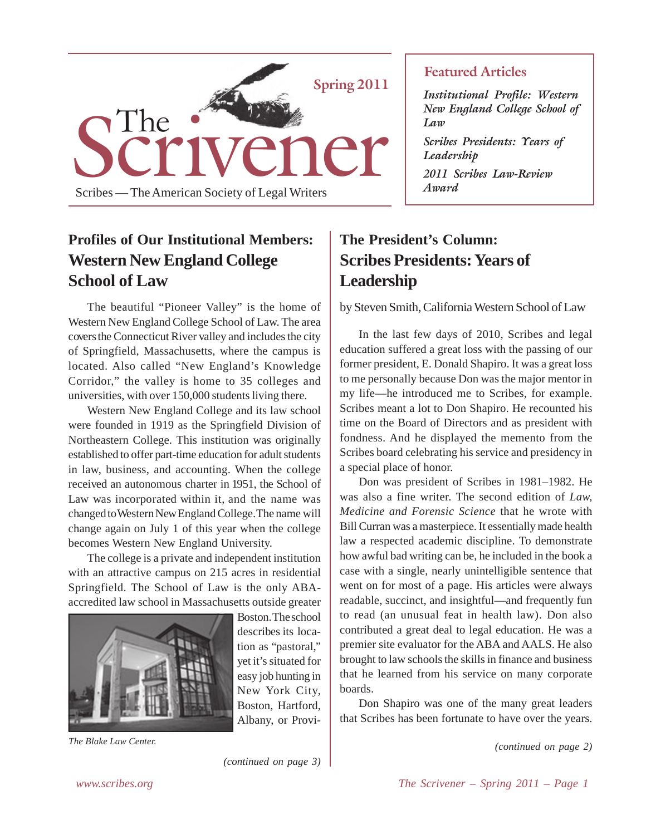

# **Profiles of Our Institutional Members: Western New England College School of Law**

The beautiful "Pioneer Valley" is the home of Western New England College School of Law. The area covers the Connecticut River valley and includes the city of Springfield, Massachusetts, where the campus is located. Also called "New England's Knowledge Corridor," the valley is home to 35 colleges and universities, with over 150,000 students living there.

Western New England College and its law school were founded in 1919 as the Springfield Division of Northeastern College. This institution was originally established to offer part-time education for adult students in law, business, and accounting. When the college received an autonomous charter in 1951, the School of Law was incorporated within it, and the name was changed to Western New England College. The name will change again on July 1 of this year when the college becomes Western New England University.

The college is a private and independent institution with an attractive campus on 215 acres in residential Springfield. The School of Law is the only ABAaccredited law school in Massachusetts outside greater



Boston. The school describes its location as "pastoral," yet it's situated for easy job hunting in New York City, Boston, Hartford, Albany, or Provi-

*The Blake Law Center.*

*(continued on page 3)*

### **Featured Articles**

*Institutional Profile: Western New England College School of Law*

*Scribes Presidents: Years of Leadership*

*2011 Scribes Law-Review Award*

# **The President's Column: Scribes Presidents: Years of Leadership**

by Steven Smith, California Western School of Law

In the last few days of 2010, Scribes and legal education suffered a great loss with the passing of our former president, E. Donald Shapiro. It was a great loss to me personally because Don was the major mentor in my life—he introduced me to Scribes, for example. Scribes meant a lot to Don Shapiro. He recounted his time on the Board of Directors and as president with fondness. And he displayed the memento from the Scribes board celebrating his service and presidency in a special place of honor.

Don was president of Scribes in 1981–1982. He was also a fine writer. The second edition of *Law, Medicine and Forensic Science* that he wrote with Bill Curran was a masterpiece. It essentially made health law a respected academic discipline. To demonstrate how awful bad writing can be, he included in the book a case with a single, nearly unintelligible sentence that went on for most of a page. His articles were always readable, succinct, and insightful—and frequently fun to read (an unusual feat in health law). Don also contributed a great deal to legal education. He was a premier site evaluator for the ABA and AALS. He also brought to law schools the skills in finance and business that he learned from his service on many corporate boards.

Don Shapiro was one of the many great leaders that Scribes has been fortunate to have over the years.

*(continued on page 2)*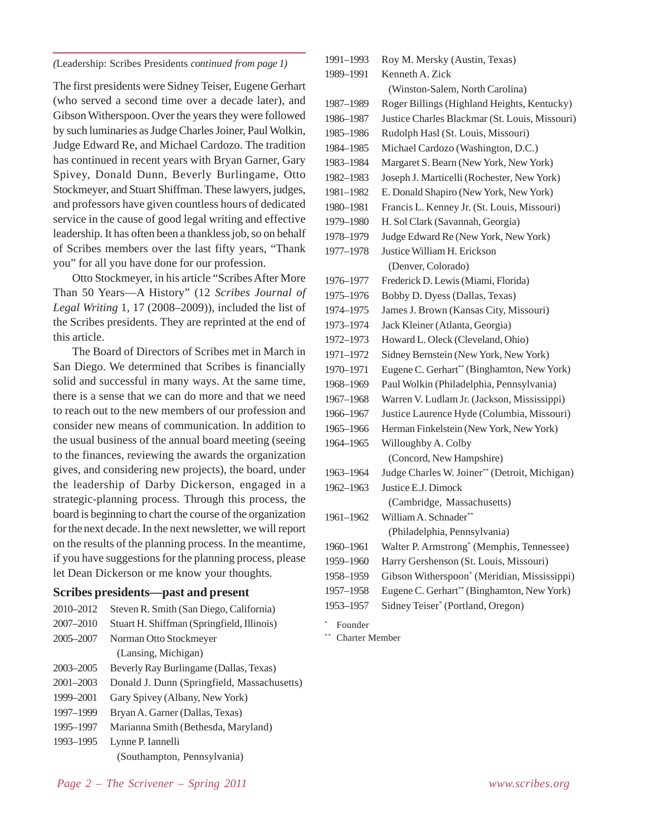*(*Leadership: Scribes Presidents *continued from page 1)*

The first presidents were Sidney Teiser, Eugene Gerhart (who served a second time over a decade later), and Gibson Witherspoon. Over the years they were followed by such luminaries as Judge Charles Joiner, Paul Wolkin, Judge Edward Re, and Michael Cardozo. The tradition has continued in recent years with Bryan Garner, Gary Spivey, Donald Dunn, Beverly Burlingame, Otto Stockmeyer, and Stuart Shiffman. These lawyers, judges, and professors have given countless hours of dedicated service in the cause of good legal writing and effective leadership. It has often been a thankless job, so on behalf of Scribes members over the last fifty years, "Thank you" for all you have done for our profession.

Otto Stockmeyer, in his article "Scribes After More Than 50 Years—A History" (12 *Scribes Journal of Legal Writing* 1, 17 (2008–2009)), included the list of the Scribes presidents. They are reprinted at the end of this article.

The Board of Directors of Scribes met in March in San Diego. We determined that Scribes is financially solid and successful in many ways. At the same time, there is a sense that we can do more and that we need to reach out to the new members of our profession and consider new means of communication. In addition to the usual business of the annual board meeting (seeing to the finances, reviewing the awards the organization gives, and considering new projects), the board, under the leadership of Darby Dickerson, engaged in a strategic-planning process. Through this process, the board is beginning to chart the course of the organization for the next decade. In the next newsletter, we will report on the results of the planning process. In the meantime, if you have suggestions for the planning process, please let Dean Dickerson or me know your thoughts.

#### **Scribes presidents—past and present**

| 2010-2012     | Steven R. Smith (San Diego, California)     |  |
|---------------|---------------------------------------------|--|
| 2007-2010     | Stuart H. Shiffman (Springfield, Illinois)  |  |
| 2005-2007     | Norman Otto Stockmeyer                      |  |
|               | (Lansing, Michigan)                         |  |
| $2003 - 2005$ | Beverly Ray Burlingame (Dallas, Texas)      |  |
| 2001-2003     | Donald J. Dunn (Springfield, Massachusetts) |  |
| 1999-2001     | Gary Spivey (Albany, New York)              |  |
| 1997-1999     | Bryan A. Garner (Dallas, Texas)             |  |
| 1995-1997     | Marianna Smith (Bethesda, Maryland)         |  |
| 1993-1995     | Lynne P. Iannelli                           |  |
|               | (Southampton, Pennsylvania)                 |  |

| 1991-1993 | Roy M. Mersky (Austin, Texas)                  |
|-----------|------------------------------------------------|
| 1989-1991 | Kenneth A. Zick                                |
|           | (Winston-Salem, North Carolina)                |
| 1987-1989 | Roger Billings (Highland Heights, Kentucky)    |
| 1986-1987 | Justice Charles Blackmar (St. Louis, Missouri) |
| 1985-1986 | Rudolph Hasl (St. Louis, Missouri)             |
| 1984-1985 | Michael Cardozo (Washington, D.C.)             |
| 1983-1984 | Margaret S. Bearn (New York, New York)         |
| 1982-1983 | Joseph J. Marticelli (Rochester, New York)     |
| 1981-1982 | E. Donald Shapiro (New York, New York)         |
| 1980-1981 | Francis L. Kenney Jr. (St. Louis, Missouri)    |
| 1979-1980 | H. Sol Clark (Savannah, Georgia)               |
| 1978–1979 | Judge Edward Re (New York, New York)           |
| 1977-1978 | Justice William H. Erickson                    |
|           | (Denver, Colorado)                             |
| 1976–1977 | Frederick D. Lewis (Miami, Florida)            |
| 1975-1976 | Bobby D. Dyess (Dallas, Texas)                 |
| 1974-1975 | James J. Brown (Kansas City, Missouri)         |
| 1973–1974 | Jack Kleiner (Atlanta, Georgia)                |
| 1972-1973 | Howard L. Oleck (Cleveland, Ohio)              |
| 1971-1972 | Sidney Bernstein (New York, New York)          |
| 1970-1971 | Eugene C. Gerhart** (Binghamton, New York)     |
| 1968-1969 | Paul Wolkin (Philadelphia, Pennsylvania)       |
| 1967-1968 | Warren V. Ludlam Jr. (Jackson, Mississippi)    |
| 1966-1967 | Justice Laurence Hyde (Columbia, Missouri)     |
| 1965-1966 | Herman Finkelstein (New York, New York)        |
| 1964-1965 | Willoughby A. Colby                            |
|           | (Concord, New Hampshire)                       |
| 1963-1964 | Judge Charles W. Joiner** (Detroit, Michigan)  |
| 1962-1963 | Justice E.J. Dimock                            |
|           | (Cambridge, Massachusetts)                     |
| 1961-1962 | William A. Schnader**                          |
|           | (Philadelphia, Pennsylvania)                   |
| 1960-1961 | Walter P. Armstrong* (Memphis, Tennessee)      |
| 1959-1960 | Harry Gershenson (St. Louis, Missouri)         |
| 1958-1959 | Gibson Witherspoon* (Meridian, Mississippi)    |
| 1957-1958 | Eugene C. Gerhart** (Binghamton, New York)     |
| 1953-1957 | Sidney Teiser* (Portland, Oregon)              |
|           |                                                |

**Founder** 

\*\* Charter Member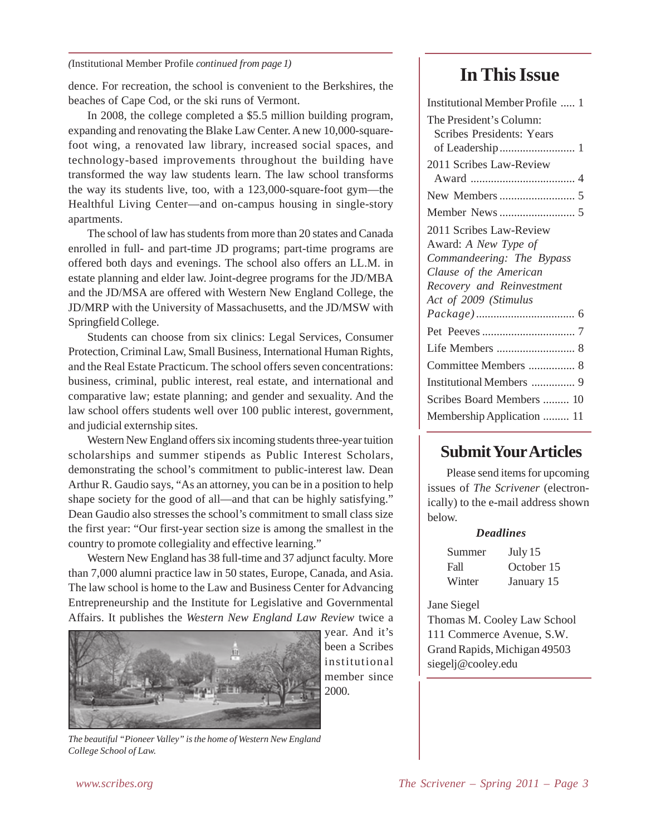*(*Institutional Member Profile *continued from page 1)*

dence. For recreation, the school is convenient to the Berkshires, the beaches of Cape Cod, or the ski runs of Vermont.

In 2008, the college completed a \$5.5 million building program, expanding and renovating the Blake Law Center. A new 10,000-squarefoot wing, a renovated law library, increased social spaces, and technology-based improvements throughout the building have transformed the way law students learn. The law school transforms the way its students live, too, with a 123,000-square-foot gym—the Healthful Living Center—and on-campus housing in single-story apartments.

The school of law has students from more than 20 states and Canada enrolled in full- and part-time JD programs; part-time programs are offered both days and evenings. The school also offers an LL.M. in estate planning and elder law. Joint-degree programs for the JD/MBA and the JD/MSA are offered with Western New England College, the JD/MRP with the University of Massachusetts, and the JD/MSW with Springfield College.

Students can choose from six clinics: Legal Services, Consumer Protection, Criminal Law, Small Business, International Human Rights, and the Real Estate Practicum. The school offers seven concentrations: business, criminal, public interest, real estate, and international and comparative law; estate planning; and gender and sexuality. And the law school offers students well over 100 public interest, government, and judicial externship sites.

Western New England offers six incoming students three-year tuition scholarships and summer stipends as Public Interest Scholars, demonstrating the school's commitment to public-interest law. Dean Arthur R. Gaudio says, "As an attorney, you can be in a position to help shape society for the good of all—and that can be highly satisfying." Dean Gaudio also stresses the school's commitment to small class size the first year: "Our first-year section size is among the smallest in the country to promote collegiality and effective learning."

Western New England has 38 full-time and 37 adjunct faculty. More than 7,000 alumni practice law in 50 states, Europe, Canada, and Asia. The law school is home to the Law and Business Center for Advancing Entrepreneurship and the Institute for Legislative and Governmental Affairs. It publishes the *Western New England Law Review* twice a



*The beautiful "Pioneer Valley" is the home of Western New England College School of Law.*

# **In This Issue**

| Institutional Member Profile  1                             |
|-------------------------------------------------------------|
| The President's Column:<br><b>Scribes Presidents: Years</b> |
|                                                             |
| 2011 Scribes Law-Review                                     |
|                                                             |
|                                                             |
|                                                             |
| 2011 Scribes Law-Review                                     |
| Award: A New Type of                                        |
| Commandeering: The Bypass                                   |
| Clause of the American                                      |
| Recovery and Reinvestment                                   |
| Act of 2009 (Stimulus                                       |
|                                                             |
|                                                             |
|                                                             |
| Committee Members  8                                        |
|                                                             |
| Scribes Board Members  10                                   |
| Membership Application  11                                  |

### **Submit Your Articles**

Please send items for upcoming issues of *The Scrivener* (electronically) to the e-mail address shown below.

#### *Deadlines*

| Summer | July 15    |
|--------|------------|
| Fall   | October 15 |
| Winter | January 15 |

#### Jane Siegel

Thomas M. Cooley Law School 111 Commerce Avenue, S.W. Grand Rapids, Michigan 49503 siegelj@cooley.edu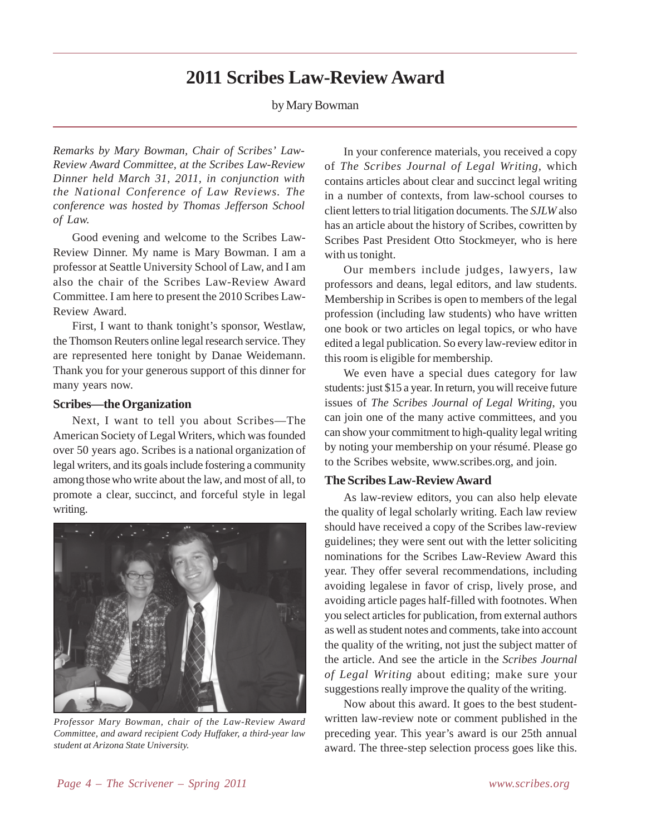### **2011 Scribes Law-Review Award**

by Mary Bowman

*Remarks by Mary Bowman, Chair of Scribes' Law-Review Award Committee, at the Scribes Law-Review Dinner held March 31, 2011, in conjunction with the National Conference of Law Reviews. The conference was hosted by Thomas Jefferson School of Law.*

Good evening and welcome to the Scribes Law-Review Dinner. My name is Mary Bowman. I am a professor at Seattle University School of Law, and I am also the chair of the Scribes Law-Review Award Committee. I am here to present the 2010 Scribes Law-Review Award.

First, I want to thank tonight's sponsor, Westlaw, the Thomson Reuters online legal research service. They are represented here tonight by Danae Weidemann. Thank you for your generous support of this dinner for many years now.

#### **Scribes—the Organization**

Next, I want to tell you about Scribes—The American Society of Legal Writers, which was founded over 50 years ago. Scribes is a national organization of legal writers, and its goals include fostering a community among those who write about the law, and most of all, to promote a clear, succinct, and forceful style in legal writing.



*Professor Mary Bowman, chair of the Law-Review Award Committee, and award recipient Cody Huffaker, a third-year law student at Arizona State University.*

In your conference materials, you received a copy of *The Scribes Journal of Legal Writing,* which contains articles about clear and succinct legal writing in a number of contexts, from law-school courses to client letters to trial litigation documents. The *SJLW* also has an article about the history of Scribes, cowritten by Scribes Past President Otto Stockmeyer, who is here with us tonight.

Our members include judges, lawyers, law professors and deans, legal editors, and law students. Membership in Scribes is open to members of the legal profession (including law students) who have written one book or two articles on legal topics, or who have edited a legal publication. So every law-review editor in this room is eligible for membership.

We even have a special dues category for law students: just \$15 a year. In return, you will receive future issues of *The Scribes Journal of Legal Writing*, you can join one of the many active committees, and you can show your commitment to high-quality legal writing by noting your membership on your résumé. Please go to the Scribes website, www.scribes.org, and join.

#### **The Scribes Law-Review Award**

As law-review editors, you can also help elevate the quality of legal scholarly writing. Each law review should have received a copy of the Scribes law-review guidelines; they were sent out with the letter soliciting nominations for the Scribes Law-Review Award this year. They offer several recommendations, including avoiding legalese in favor of crisp, lively prose, and avoiding article pages half-filled with footnotes. When you select articles for publication, from external authors as well as student notes and comments, take into account the quality of the writing, not just the subject matter of the article. And see the article in the *Scribes Journal of Legal Writing* about editing; make sure your suggestions really improve the quality of the writing.

Now about this award. It goes to the best studentwritten law-review note or comment published in the preceding year. This year's award is our 25th annual award. The three-step selection process goes like this.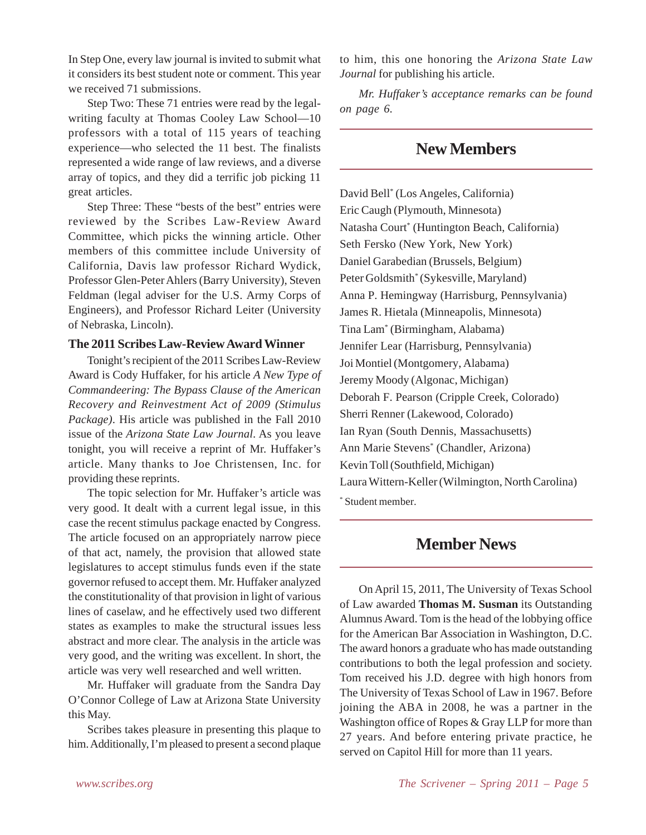In Step One, every law journal is invited to submit what it considers its best student note or comment. This year we received 71 submissions.

Step Two: These 71 entries were read by the legalwriting faculty at Thomas Cooley Law School—10 professors with a total of 115 years of teaching experience—who selected the 11 best. The finalists represented a wide range of law reviews, and a diverse array of topics, and they did a terrific job picking 11 great articles.

Step Three: These "bests of the best" entries were reviewed by the Scribes Law-Review Award Committee, which picks the winning article. Other members of this committee include University of California, Davis law professor Richard Wydick, Professor Glen-Peter Ahlers (Barry University), Steven Feldman (legal adviser for the U.S. Army Corps of Engineers), and Professor Richard Leiter (University of Nebraska, Lincoln).

#### **The 2011 Scribes Law-Review Award Winner**

Tonight's recipient of the 2011 Scribes Law-Review Award is Cody Huffaker, for his article *A New Type of Commandeering: The Bypass Clause of the American Recovery and Reinvestment Act of 2009 (Stimulus Package)*. His article was published in the Fall 2010 issue of the *Arizona State Law Journal*. As you leave tonight, you will receive a reprint of Mr. Huffaker's article. Many thanks to Joe Christensen, Inc. for providing these reprints.

The topic selection for Mr. Huffaker's article was very good. It dealt with a current legal issue, in this case the recent stimulus package enacted by Congress. The article focused on an appropriately narrow piece of that act, namely, the provision that allowed state legislatures to accept stimulus funds even if the state governor refused to accept them. Mr. Huffaker analyzed the constitutionality of that provision in light of various lines of caselaw, and he effectively used two different states as examples to make the structural issues less abstract and more clear. The analysis in the article was very good, and the writing was excellent. In short, the article was very well researched and well written.

Mr. Huffaker will graduate from the Sandra Day O'Connor College of Law at Arizona State University this May.

Scribes takes pleasure in presenting this plaque to him. Additionally, I'm pleased to present a second plaque to him, this one honoring the *Arizona State Law Journal* for publishing his article.

*Mr. Huffaker's acceptance remarks can be found on page 6.*

### **New Members**

David Bell\* (Los Angeles, California) Eric Caugh (Plymouth, Minnesota) Natasha Court\* (Huntington Beach, California) Seth Fersko (New York, New York) Daniel Garabedian (Brussels, Belgium) Peter Goldsmith\* (Sykesville, Maryland) Anna P. Hemingway (Harrisburg, Pennsylvania) James R. Hietala (Minneapolis, Minnesota) Tina Lam\* (Birmingham, Alabama) Jennifer Lear (Harrisburg, Pennsylvania) Joi Montiel (Montgomery, Alabama) Jeremy Moody (Algonac, Michigan) Deborah F. Pearson (Cripple Creek, Colorado) Sherri Renner (Lakewood, Colorado) Ian Ryan (South Dennis, Massachusetts) Ann Marie Stevens\* (Chandler, Arizona) Kevin Toll (Southfield, Michigan) Laura Wittern-Keller (Wilmington, North Carolina)

\* Student member.

### **Member News**

On April 15, 2011, The University of Texas School of Law awarded **Thomas M. Susman** its Outstanding Alumnus Award. Tom is the head of the lobbying office for the American Bar Association in Washington, D.C. The award honors a graduate who has made outstanding contributions to both the legal profession and society. Tom received his J.D. degree with high honors from The University of Texas School of Law in 1967. Before joining the ABA in 2008, he was a partner in the Washington office of Ropes & Gray LLP for more than 27 years. And before entering private practice, he served on Capitol Hill for more than 11 years.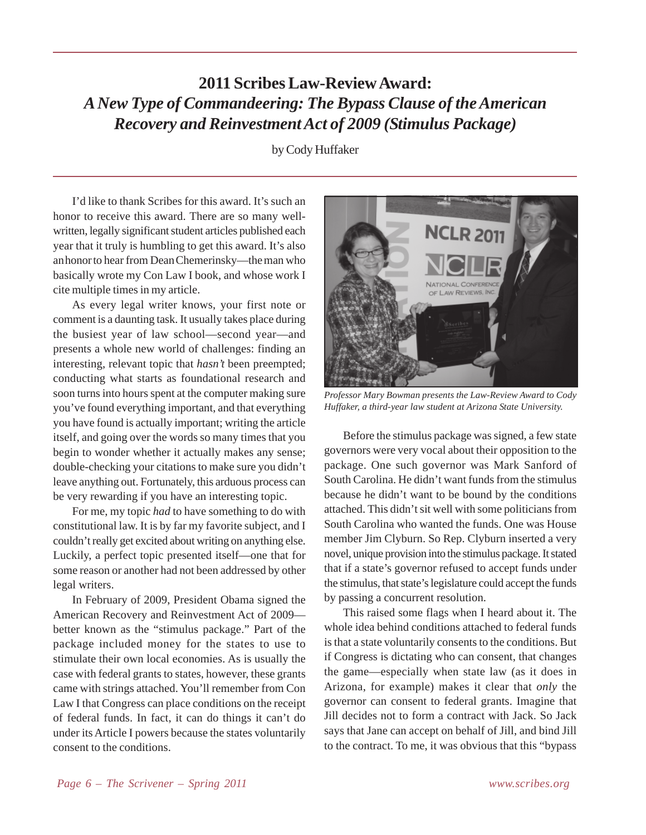# **2011 Scribes Law-Review Award:** *A New Type of Commandeering: The Bypass Clause of the American Recovery and Reinvestment Act of 2009 (Stimulus Package)*

by Cody Huffaker

I'd like to thank Scribes for this award. It's such an honor to receive this award. There are so many wellwritten, legally significant student articles published each year that it truly is humbling to get this award. It's also an honor to hear from Dean Chemerinsky—the man who basically wrote my Con Law I book, and whose work I cite multiple times in my article.

As every legal writer knows, your first note or comment is a daunting task. It usually takes place during the busiest year of law school—second year—and presents a whole new world of challenges: finding an interesting, relevant topic that *hasn't* been preempted; conducting what starts as foundational research and soon turns into hours spent at the computer making sure you've found everything important, and that everything you have found is actually important; writing the article itself, and going over the words so many times that you begin to wonder whether it actually makes any sense; double-checking your citations to make sure you didn't leave anything out. Fortunately, this arduous process can be very rewarding if you have an interesting topic.

For me, my topic *had* to have something to do with constitutional law. It is by far my favorite subject, and I couldn't really get excited about writing on anything else. Luckily, a perfect topic presented itself—one that for some reason or another had not been addressed by other legal writers.

In February of 2009, President Obama signed the American Recovery and Reinvestment Act of 2009 better known as the "stimulus package." Part of the package included money for the states to use to stimulate their own local economies. As is usually the case with federal grants to states, however, these grants came with strings attached. You'll remember from Con Law I that Congress can place conditions on the receipt of federal funds. In fact, it can do things it can't do under its Article I powers because the states voluntarily consent to the conditions.



*Professor Mary Bowman presents the Law-Review Award to Cody Huffaker, a third-year law student at Arizona State University.*

Before the stimulus package was signed, a few state governors were very vocal about their opposition to the package. One such governor was Mark Sanford of South Carolina. He didn't want funds from the stimulus because he didn't want to be bound by the conditions attached. This didn't sit well with some politicians from South Carolina who wanted the funds. One was House member Jim Clyburn. So Rep. Clyburn inserted a very novel, unique provision into the stimulus package. It stated that if a state's governor refused to accept funds under the stimulus, that state's legislature could accept the funds by passing a concurrent resolution.

This raised some flags when I heard about it. The whole idea behind conditions attached to federal funds is that a state voluntarily consents to the conditions. But if Congress is dictating who can consent, that changes the game—especially when state law (as it does in Arizona, for example) makes it clear that *only* the governor can consent to federal grants. Imagine that Jill decides not to form a contract with Jack. So Jack says that Jane can accept on behalf of Jill, and bind Jill to the contract. To me, it was obvious that this "bypass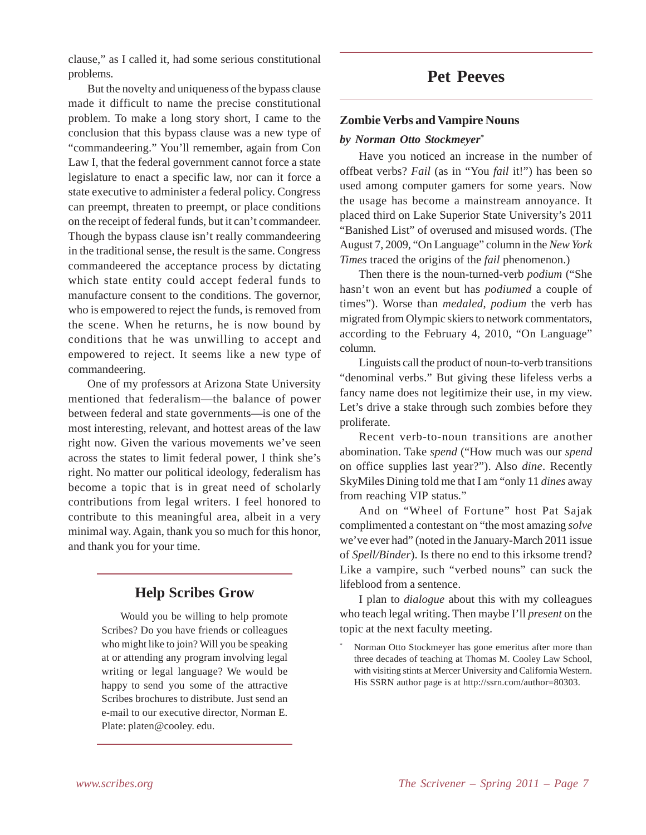clause," as I called it, had some serious constitutional problems.

But the novelty and uniqueness of the bypass clause made it difficult to name the precise constitutional problem. To make a long story short, I came to the conclusion that this bypass clause was a new type of "commandeering." You'll remember, again from Con Law I, that the federal government cannot force a state legislature to enact a specific law, nor can it force a state executive to administer a federal policy. Congress can preempt, threaten to preempt, or place conditions on the receipt of federal funds, but it can't commandeer. Though the bypass clause isn't really commandeering in the traditional sense, the result is the same. Congress commandeered the acceptance process by dictating which state entity could accept federal funds to manufacture consent to the conditions. The governor, who is empowered to reject the funds, is removed from the scene. When he returns, he is now bound by conditions that he was unwilling to accept and empowered to reject. It seems like a new type of commandeering.

One of my professors at Arizona State University mentioned that federalism—the balance of power between federal and state governments—is one of the most interesting, relevant, and hottest areas of the law right now. Given the various movements we've seen across the states to limit federal power, I think she's right. No matter our political ideology, federalism has become a topic that is in great need of scholarly contributions from legal writers. I feel honored to contribute to this meaningful area, albeit in a very minimal way. Again, thank you so much for this honor, and thank you for your time.

### **Help Scribes Grow**

Would you be willing to help promote Scribes? Do you have friends or colleagues who might like to join? Will you be speaking at or attending any program involving legal writing or legal language? We would be happy to send you some of the attractive Scribes brochures to distribute. Just send an e-mail to our executive director, Norman E. Plate: platen@cooley. edu.

### **Pet Peeves**

#### **Zombie Verbs and Vampire Nouns**

#### *by Norman Otto Stockmeyer\**

Have you noticed an increase in the number of offbeat verbs? *Fail* (as in "You *fail* it!") has been so used among computer gamers for some years. Now the usage has become a mainstream annoyance. It placed third on Lake Superior State University's 2011 "Banished List" of overused and misused words. (The August 7, 2009, "On Language" column in the *New York Times* traced the origins of the *fail* phenomenon.)

Then there is the noun-turned-verb *podium* ("She hasn't won an event but has *podiumed* a couple of times"). Worse than *medaled*, *podium* the verb has migrated from Olympic skiers to network commentators, according to the February 4, 2010, "On Language" column.

Linguists call the product of noun-to-verb transitions "denominal verbs." But giving these lifeless verbs a fancy name does not legitimize their use, in my view. Let's drive a stake through such zombies before they proliferate.

Recent verb-to-noun transitions are another abomination. Take *spend* ("How much was our *spend* on office supplies last year?"). Also *dine*. Recently SkyMiles Dining told me that I am "only 11 *dines* away from reaching VIP status."

And on "Wheel of Fortune" host Pat Sajak complimented a contestant on "the most amazing *solve* we've ever had" (noted in the January-March 2011 issue of *Spell/Binder*). Is there no end to this irksome trend? Like a vampire, such "verbed nouns" can suck the lifeblood from a sentence.

I plan to *dialogue* about this with my colleagues who teach legal writing. Then maybe I'll *present* on the topic at the next faculty meeting.

Norman Otto Stockmeyer has gone emeritus after more than three decades of teaching at Thomas M. Cooley Law School, with visiting stints at Mercer University and California Western. His SSRN author page is at http://ssrn.com/author=80303.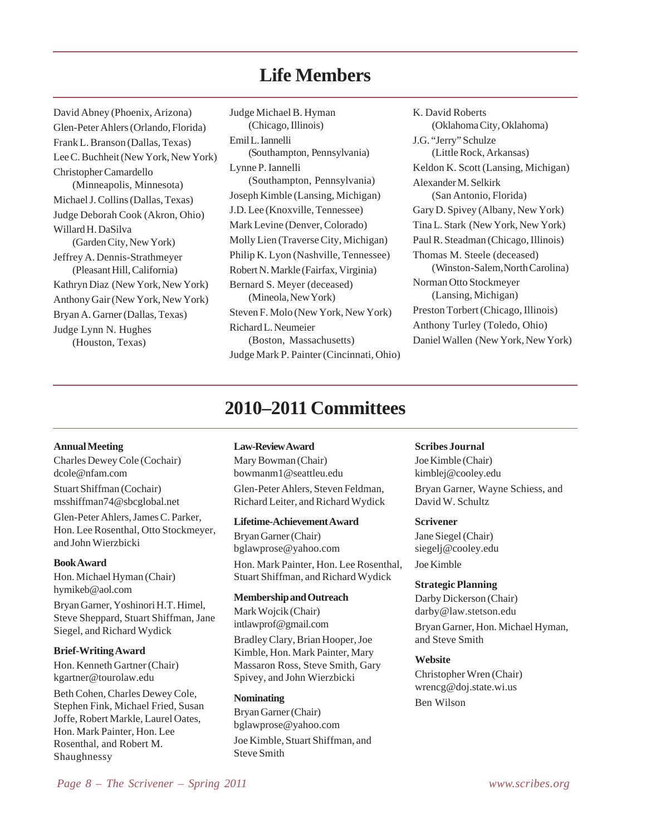# **Life Members**

David Abney (Phoenix, Arizona) Glen-Peter Ahlers (Orlando, Florida) Frank L. Branson (Dallas, Texas) Lee C. Buchheit (New York, New York) Christopher Camardello (Minneapolis, Minnesota) Michael J. Collins (Dallas, Texas) Judge Deborah Cook (Akron, Ohio) Willard H. DaSilva (Garden City, New York) Jeffrey A. Dennis-Strathmeyer (Pleasant Hill, California) Kathryn Diaz (New York, New York) Anthony Gair (New York, New York) Bryan A. Garner (Dallas, Texas) Judge Lynn N. Hughes (Houston, Texas)

Judge Michael B. Hyman (Chicago, Illinois) Emil L. Iannelli (Southampton, Pennsylvania) Lynne P. Iannelli (Southampton, Pennsylvania) Joseph Kimble (Lansing, Michigan) J.D. Lee (Knoxville, Tennessee) Mark Levine (Denver, Colorado) Molly Lien (Traverse City, Michigan) Philip K. Lyon (Nashville, Tennessee) Robert N. Markle (Fairfax, Virginia) Bernard S. Meyer (deceased) (Mineola, New York) Steven F. Molo (New York, New York) Richard L. Neumeier (Boston, Massachusetts) Judge Mark P. Painter (Cincinnati, Ohio)

K. David Roberts (Oklahoma City, Oklahoma) J.G. "Jerry" Schulze (Little Rock, Arkansas) Keldon K. Scott (Lansing, Michigan) Alexander M. Selkirk (San Antonio, Florida) Gary D. Spivey (Albany, New York) Tina L. Stark (New York, New York) Paul R. Steadman (Chicago, Illinois) Thomas M. Steele (deceased) (Winston-Salem, North Carolina) Norman Otto Stockmeyer (Lansing, Michigan) Preston Torbert (Chicago, Illinois) Anthony Turley (Toledo, Ohio) Daniel Wallen (New York, New York)

# **2010–2011 Committees**

#### **Annual Meeting**

Charles Dewey Cole (Cochair) dcole@nfam.com Stuart Shiffman (Cochair) msshiffman74@sbcglobal.net

Glen-Peter Ahlers, James C. Parker, Hon. Lee Rosenthal, Otto Stockmeyer, and John Wierzbicki

#### **Book Award**

Hon. Michael Hyman (Chair) hymikeb@aol.com

Bryan Garner, Yoshinori H.T. Himel, Steve Sheppard, Stuart Shiffman, Jane Siegel, and Richard Wydick

#### **Brief-Writing Award**

Hon. Kenneth Gartner (Chair) kgartner@tourolaw.edu

Beth Cohen, Charles Dewey Cole, Stephen Fink, Michael Fried, Susan Joffe, Robert Markle, Laurel Oates, Hon. Mark Painter, Hon. Lee Rosenthal, and Robert M. Shaughnessy

#### **Law-Review Award**

Mary Bowman (Chair) bowmanm1@seattleu.edu Glen-Peter Ahlers, Steven Feldman, Richard Leiter, and Richard Wydick

#### **Lifetime-Achievement Award**

Bryan Garner (Chair) bglawprose@yahoo.com Hon. Mark Painter, Hon. Lee Rosenthal, Stuart Shiffman, and Richard Wydick

#### **Membership and Outreach**

Mark Wojcik (Chair) intlawprof@gmail.com

Bradley Clary, Brian Hooper, Joe Kimble, Hon. Mark Painter, Mary Massaron Ross, Steve Smith, Gary Spivey, and John Wierzbicki

**Nominating** Bryan Garner (Chair) bglawprose@yahoo.com Joe Kimble, Stuart Shiffman, and Steve Smith

#### **Scribes Journal**

Joe Kimble (Chair) kimblej@cooley.edu Bryan Garner, Wayne Schiess, and David W. Schultz

#### **Scrivener**

Jane Siegel (Chair) siegelj@cooley.edu Joe Kimble

#### **Strategic Planning**

Darby Dickerson (Chair) darby@law.stetson.edu

Bryan Garner, Hon. Michael Hyman, and Steve Smith

#### **Website**

Christopher Wren (Chair) wrencg@doj.state.wi.us Ben Wilson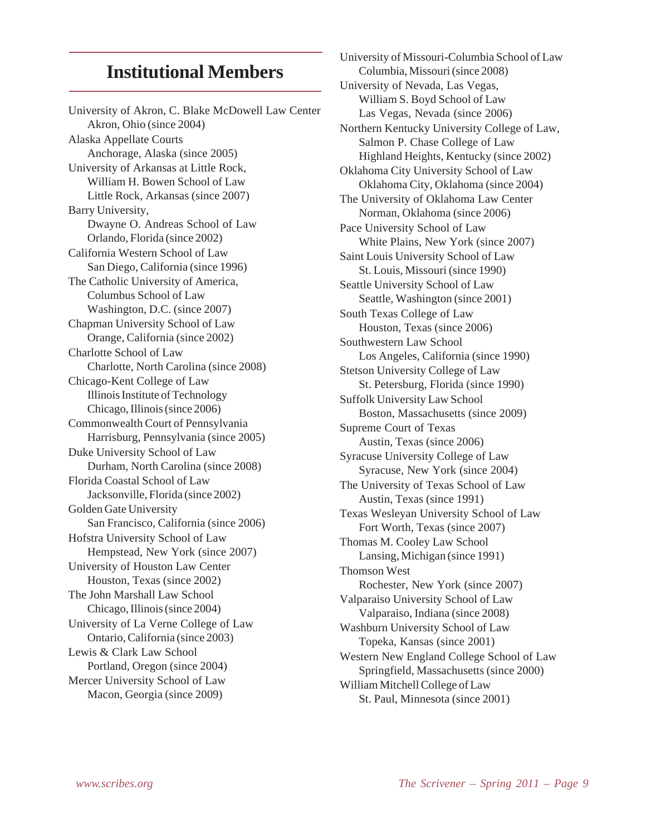# **Institutional Members**

University of Akron, C. Blake McDowell Law Center Akron, Ohio (since 2004) Alaska Appellate Courts Anchorage, Alaska (since 2005) University of Arkansas at Little Rock, William H. Bowen School of Law Little Rock, Arkansas (since 2007) Barry University, Dwayne O. Andreas School of Law Orlando, Florida (since 2002) California Western School of Law San Diego, California (since 1996) The Catholic University of America, Columbus School of Law Washington, D.C. (since 2007) Chapman University School of Law Orange, California (since 2002) Charlotte School of Law Charlotte, North Carolina (since 2008) Chicago-Kent College of Law Illinois Institute of Technology Chicago, Illinois (since 2006) Commonwealth Court of Pennsylvania Harrisburg, Pennsylvania (since 2005) Duke University School of Law Durham, North Carolina (since 2008) Florida Coastal School of Law Jacksonville, Florida (since 2002) Golden Gate University San Francisco, California (since 2006) Hofstra University School of Law Hempstead, New York (since 2007) University of Houston Law Center Houston, Texas (since 2002) The John Marshall Law School Chicago, Illinois (since 2004) University of La Verne College of Law Ontario, California (since 2003) Lewis & Clark Law School Portland, Oregon (since 2004) Mercer University School of Law Macon, Georgia (since 2009)

University of Missouri-Columbia School of Law Columbia, Missouri (since 2008) University of Nevada, Las Vegas, William S. Boyd School of Law Las Vegas, Nevada (since 2006) Northern Kentucky University College of Law, Salmon P. Chase College of Law Highland Heights, Kentucky (since 2002) Oklahoma City University School of Law Oklahoma City, Oklahoma (since 2004) The University of Oklahoma Law Center Norman, Oklahoma (since 2006) Pace University School of Law White Plains, New York (since 2007) Saint Louis University School of Law St. Louis, Missouri (since 1990) Seattle University School of Law Seattle, Washington (since 2001) South Texas College of Law Houston, Texas (since 2006) Southwestern Law School Los Angeles, California (since 1990) Stetson University College of Law St. Petersburg, Florida (since 1990) Suffolk University Law School Boston, Massachusetts (since 2009) Supreme Court of Texas Austin, Texas (since 2006) Syracuse University College of Law Syracuse, New York (since 2004) The University of Texas School of Law Austin, Texas (since 1991) Texas Wesleyan University School of Law Fort Worth, Texas (since 2007) Thomas M. Cooley Law School Lansing, Michigan (since 1991) Thomson West Rochester, New York (since 2007) Valparaiso University School of Law Valparaiso, Indiana (since 2008) Washburn University School of Law Topeka, Kansas (since 2001) Western New England College School of Law Springfield, Massachusetts (since 2000) William Mitchell College of Law St. Paul, Minnesota (since 2001)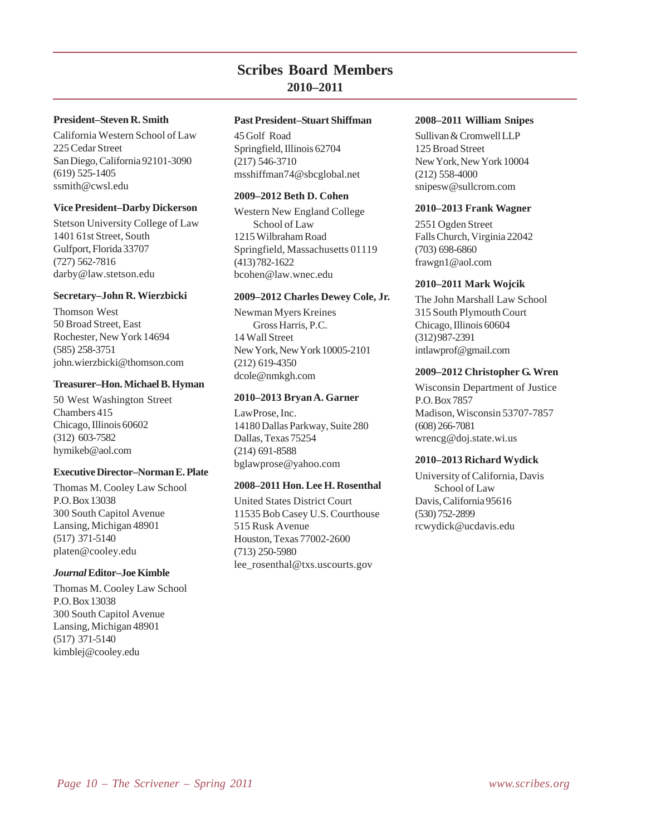### **Scribes Board Members 2010–2011**

#### **President–Steven R. Smith**

California Western School of Law 225 Cedar Street San Diego, California 92101-3090 (619) 525-1405 ssmith@cwsl.edu

#### **Vice President–Darby Dickerson**

Stetson University College of Law 1401 61st Street, South Gulfport, Florida 33707 (727) 562-7816 darby@law.stetson.edu

#### **Secretary–John R. Wierzbicki**

Thomson West 50 Broad Street, East Rochester, New York 14694 (585) 258-3751 john.wierzbicki@thomson.com

#### **Treasurer–Hon. Michael B. Hyman**

50 West Washington Street Chambers 415 Chicago, Illinois 60602 (312) 603-7582 hymikeb@aol.com

#### **Executive Director–Norman E. Plate**

Thomas M. Cooley Law School P.O. Box 13038 300 South Capitol Avenue Lansing, Michigan 48901 (517) 371-5140 platen@cooley.edu

#### *Journal* **Editor–Joe Kimble**

Thomas M. Cooley Law School P.O. Box 13038 300 South Capitol Avenue Lansing, Michigan 48901 (517) 371-5140 kimblej@cooley.edu

#### **Past President–Stuart Shiffman**

45 Golf Road Springfield, Illinois 62704 (217) 546-3710 msshiffman74@sbcglobal.net

#### **2009–2012 Beth D. Cohen**

Western New England College School of Law 1215 Wilbraham Road Springfield, Massachusetts 01119 (413) 782-1622 bcohen@law.wnec.edu

#### **2009–2012 Charles Dewey Cole, Jr.**

Newman Myers Kreines Gross Harris, P.C. 14 Wall Street New York, New York 10005-2101 (212) 619-4350 dcole@nmkgh.com

#### **2010–2013 Bryan A. Garner**

LawProse, Inc. 14180 Dallas Parkway, Suite 280 Dallas, Texas 75254 (214) 691-8588 bglawprose@yahoo.com

#### **2008–2011 Hon. Lee H. Rosenthal**

United States District Court 11535 Bob Casey U.S. Courthouse 515 Rusk Avenue Houston, Texas 77002-2600 (713) 250-5980 lee\_rosenthal@txs.uscourts.gov

#### **2008–2011 William Snipes**

Sullivan & Cromwell LLP 125 Broad Street New York, New York 10004 (212) 558-4000 snipesw@sullcrom.com

#### **2010–2013 Frank Wagner**

2551 Ogden Street Falls Church, Virginia 22042 (703) 698-6860 frawgn1@aol.com

#### **2010–2011 Mark Wojcik**

The John Marshall Law School 315 South Plymouth Court Chicago, Illinois 60604 (312) 987-2391 intlawprof@gmail.com

#### **2009–2012 Christopher G. Wren**

Wisconsin Department of Justice P.O. Box 7857 Madison, Wisconsin 53707-7857 (608) 266-7081 wrencg@doj.state.wi.us

#### **2010–2013 Richard Wydick**

University of California, Davis School of Law Davis, California 95616 (530) 752-2899 rcwydick@ucdavis.edu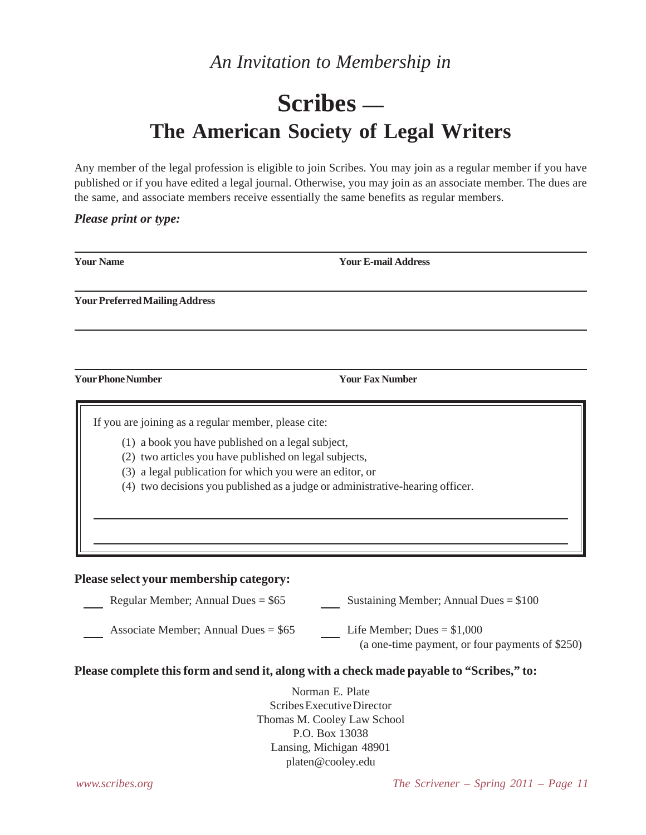# *An Invitation to Membership in*

# **Scribes — The American Society of Legal Writers**

Any member of the legal profession is eligible to join Scribes. You may join as a regular member if you have published or if you have edited a legal journal. Otherwise, you may join as an associate member. The dues are the same, and associate members receive essentially the same benefits as regular members.

#### *Please print or type:*

| <b>Your Name</b>                                                                                                                                                    | <b>Your E-mail Address</b>                                                                                                                |
|---------------------------------------------------------------------------------------------------------------------------------------------------------------------|-------------------------------------------------------------------------------------------------------------------------------------------|
| <b>Your Preferred Mailing Address</b>                                                                                                                               |                                                                                                                                           |
|                                                                                                                                                                     |                                                                                                                                           |
| <b>Your Phone Number</b>                                                                                                                                            | <b>Your Fax Number</b>                                                                                                                    |
| If you are joining as a regular member, please cite:<br>(1) a book you have published on a legal subject,<br>(2) two articles you have published on legal subjects, | (3) a legal publication for which you were an editor, or<br>(4) two decisions you published as a judge or administrative-hearing officer. |
| Please select your membership category:                                                                                                                             |                                                                                                                                           |
| Regular Member; Annual Dues = $$65$                                                                                                                                 | Sustaining Member; Annual Dues = $$100$                                                                                                   |
| Associate Member; Annual Dues = $$65$                                                                                                                               | Life Member; Dues = $$1,000$<br>(a one-time payment, or four payments of \$250)                                                           |
|                                                                                                                                                                     | Please complete this form and send it, along with a check made payable to "Scribes," to:                                                  |
|                                                                                                                                                                     | Norman E. Plate<br>Scribes Executive Director<br>Thomas M. Cooley Law School                                                              |

P.O. Box 13038 Lansing, Michigan 48901 platen@cooley.edu